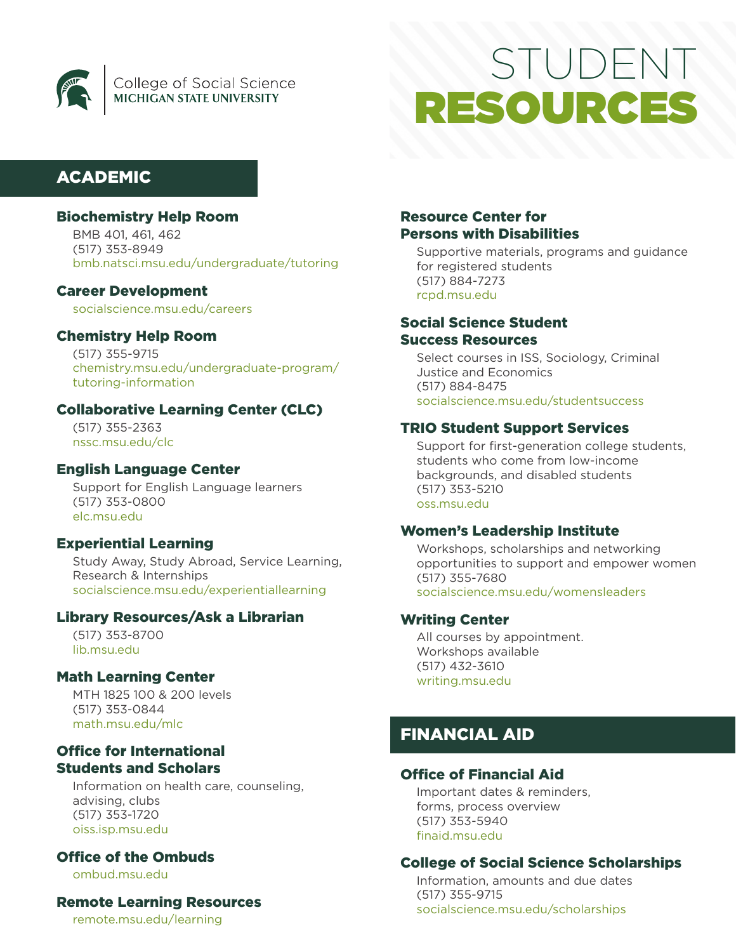

# **STUDENT** ESOURCE

# ACADEMIC

## Biochemistry Help Room

BMB 401, 461, 462 (517) 353-8949 [bmb.natsci.msu.edu/undergraduate/tutoring](https://bmb.natsci.msu.edu/undergraduate/tutoring/)

## Career Development

[socialscience.msu.edu/careers](https://socialscience.msu.edu/undergraduate/current-students/careers/index.html)

## Chemistry Help Room

(517) 355-9715 [chemistry.msu.edu/undergraduate-program/](https://www.chemistry.msu.edu/undergraduate-program/tutoring-information/) [tutoring-information](https://www.chemistry.msu.edu/undergraduate-program/tutoring-information/)

## Collaborative Learning Center (CLC)

(517) 355-2363 [nssc.msu.edu/clc](https://nssc.msu.edu/clc/index.html)

## English Language Center

Support for English Language learners (517) 353-0800 [elc.msu.edu](https://elc.msu.edu/)

## Experiential Learning

Study Away, Study Abroad, Service Learning, Research & Internships [socialscience.msu.edu/experientiallearning](https://socialscience.msu.edu/undergraduate/experiential-learning/index.html)

## Library Resources/Ask a Librarian

(517) 353-8700 [lib.msu.edu](https://lib.msu.edu/)

## Math Learning Center

MTH 1825 100 & 200 levels (517) 353-0844 [math.msu.edu/mlc](https://math.msu.edu/mlc/)

## Office for International Students and Scholars

Information on health care, counseling, advising, clubs (517) 353-1720 [oiss.isp.msu.edu](https://oiss.isp.msu.edu/)

## Office of the Ombuds

[ombud.msu.edu](https://ombud.msu.edu/)

## Remote Learning Resources

[remote.msu.edu/learning](https://remote.msu.edu/learning/)

## Resource Center for Persons with Disabilities

Supportive materials, programs and guidance for registered students (517) 884-7273 [rcpd.msu.edu](https://www.rcpd.msu.edu/)

## Social Science Student Success Resources

Select courses in ISS, Sociology, Criminal Justice and Economics (517) 884-8475

[socialscience.msu.edu/studentsuccess](https://socialscience.msu.edu/undergraduate/current-students/student-success/)

## TRIO Student Support Services

Support for first-generation college students, students who come from low-income backgrounds, and disabled students (517) 353-5210 [oss.msu.edu](https://oss.msu.edu/)

## Women's Leadership Institute

Workshops, scholarships and networking opportunities to support and empower women (517) 355-7680 [socialscience.msu.edu/womensleaders](https://socialscience.msu.edu/research/centers-institutes/wli/index.html)

## Writing Center

All courses by appointment. Workshops available (517) 432-3610 [writing.msu.edu](https://writing.msu.edu/)

# FINANCIAL AID

## Office of Financial Aid

Important dates & reminders, forms, process overview (517) 353-5940 [finaid.msu.edu](https://finaid.msu.edu/)

## College of Social Science Scholarships

Information, amounts and due dates (517) 355-9715 [socialscience.msu.edu/scholarships](https://socialscience.msu.edu/undergraduate/current-students/scholarships.html)